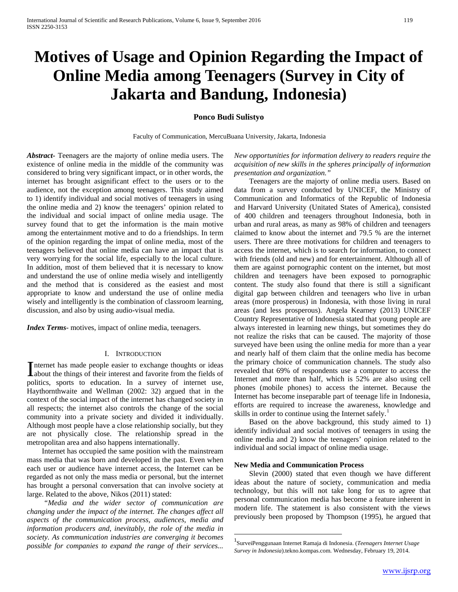# **Motives of Usage and Opinion Regarding the Impact of Online Media among Teenagers (Survey in City of Jakarta and Bandung, Indonesia)**

## **Ponco Budi Sulistyo**

Faculty of Communication, MercuBuana University, Jakarta, Indonesia

*Abstract***-** Teenagers are the majorty of online media users. The existence of online media in the middle of the community was considered to bring very significant impact, or in other words, the internet has brought asignificant effect to the users or to the audience, not the exception among teenagers. This study aimed to 1) identify individual and social motives of teenagers in using the online media and 2) know the teenagers' opinion related to the individual and social impact of online media usage. The survey found that to get the information is the main motive among the entertainment motive and to do a friendships. In term of the opinion regarding the impat of online media, most of the teenagers believed that online media can have an impact that is very worrying for the social life, especially to the local culture. In addition, most of them believed that it is necessary to know and understand the use of online media wisely and intelligently and the method that is considered as the easiest and most appropriate to know and understand the use of online media wisely and intelligently is the combination of classroom learning, discussion, and also by using audio-visual media.

*Index Terms*- motives, impact of online media, teenagers.

## I. INTRODUCTION

nternet has made people easier to exchange thoughts or ideas Internet has made people easier to exchange thoughts or ideas<br>about the things of their interest and favorite from the fields of politics, sports to education. In a survey of internet use, Haythornthwaite and Wellman (2002: 32) argued that in the context of the social impact of the internet has changed society in all respects; the internet also controls the change of the social community into a private society and divided it individually. Although most people have a close relationship socially, but they are not physically close. The relationship spread in the metropolitan area and also happens internationally.

 Internet has occupied the same position with the mainstream mass media that was born and developed in the past. Even when each user or audience have internet access, the Internet can be regarded as not only the mass media or personal, but the internet has brought a personal conversation that can involve society at large. Related to the above, Nikos (2011) stated:

<span id="page-0-1"></span><span id="page-0-0"></span> *"Media and the wider sector of communication are changing under the impact of the internet. The changes affect all aspects of the communication process, audiences, media and information producers and, inevitably, the role of the media in society. As communication industries are converging it becomes possible for companies to expand the range of their services...* 

*New opportunities for information delivery to readers require the acquisition of new skills in the spheres principally of information presentation and organization."*

 Teenagers are the majorty of online media users. Based on data from a survey conducted by UNICEF, the Ministry of Communication and Informatics of the Republic of Indonesia and Harvard University (Unitated States of America), consisted of 400 children and teenagers throughout Indonesia, both in urban and rural areas, as many as 98% of children and teenagers claimed to know about the internet and 79.5 % are the internet users. There are three motivations for children and teenagers to access the internet, which is to search for information, to connect with friends (old and new) and for entertainment. Although all of them are against pornographic content on the internet, but most children and teenagers have been exposed to pornographic content. The study also found that there is still a significant digital gap between children and teenagers who live in urban areas (more prosperous) in Indonesia, with those living in rural areas (and less prosperous). Angela Kearney (2013) UNICEF Country Representative of Indonesia stated that young people are always interested in learning new things, but sometimes they do not realize the risks that can be caused. The majority of those surveyed have been using the online media for more than a year and nearly half of them claim that the online media has become the primary choice of communication channels. The study also revealed that 69% of respondents use a computer to access the Internet and more than half, which is 52% are also using cell phones (mobile phones) to access the internet. Because the Internet has become inseparable part of teenage life in Indonesia, efforts are required to increase the awareness, knowledge and skills in order to continue using the Internet safely.<sup>[1](#page-0-0)</sup>

 Based on the above background, this study aimed to 1) identify individual and social motives of teenagers in using the online media and 2) know the teenagers' opinion related to the individual and social impact of online media usage.

#### **New Media and Communication Process**

 Slevin (2000) stated that even though we have different ideas about the nature of society, communication and media technology, but this will not take long for us to agree that personal communication media has become a feature inherent in modern life. The statement is also consistent with the views previously been proposed by Thompson (1995), he argued that

 $\frac{1}{1}$ SurveiPenggunaan Internet Ramaja di Indonesia. (*Teenagers Internet Usage Survey in Indonesia*).tekno.kompas.com. Wednesday, February 19, 2014.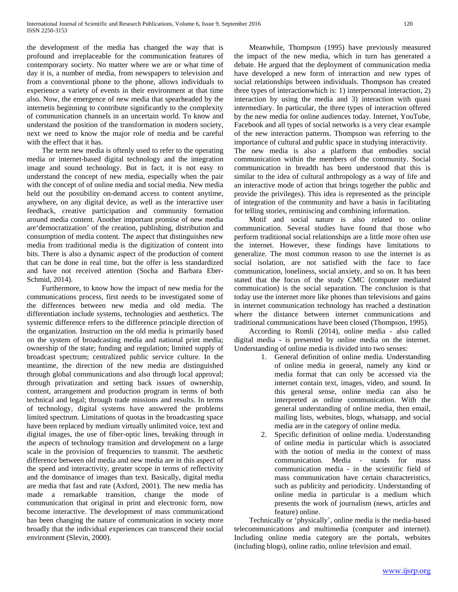the development of the media has changed the way that is profound and irreplaceable for the communication features of contemporary society. No matter where we are or what time of day it is, a number of media, from newspapers to television and from a conventional phone to the phone, allows individuals to experience a variety of events in their environment at that time also. Now, the emergence of new media that spearheaded by the internetis beginning to contribute significantly to the complexity of communication channels in an uncertain world. To know and understand the position of the transformation in modern society, next we need to know the major role of media and be careful with the effect that it has.

 The term new media is oftenly used to refer to the operating media or internet-based digital technology and the integration image and sound technology. But in fact, it is not easy to understand the concept of new media, especially when the pair with the concept of of online media and social media. New media held out the possibility on-demand access to content anytime, anywhere, on any digital device, as well as the interactive user feedback, creative participation and community formation around media content. Another important promise of new media are'democratization' of the creation, publishing, distribution and consumption of media content. The aspect that distinguishes new media from traditional media is the digitization of content into bits. There is also a dynamic aspect of the production of content that can be done in real time, but the offer is less standardized and have not received attention (Socha and Barbara Eber-Schmid, 2014).

 Furthermore, to know how the impact of new media for the communications process, first needs to be investigated some of the differences between new media and old media. The differentiation include systems, technologies and aesthetics. The systemic difference refers to the difference principle direction of the organization. Instruction on the old media is primarily based on the system of broadcasting media and national print media; ownership of the state; funding and regulation; limited supply of broadcast spectrum; centralized public service culture. In the meantime, the direction of the new media are distinguished through global communications and also through local approval; through privatization and setting back issues of ownership, content, arrangement and production program in terms of both technical and legal; through trade missions and results. In terms of technology, digital systems have answered the problems limited spectrum. Limitations of quotas in the broadcasting space have been replaced by medium virtually unlimited voice, text and digital images, the use of fiber-optic lines, breaking through in the aspects of technology transition and development on a large scale in the provision of frequencies to transmit. The aesthetic difference between old media and new media are in this aspect of the speed and interactivity, greater scope in terms of reflectivity and the dominance of images than text. Basically, digital media are media that fast and rate (Axford, 2001). The new media has made a remarkable transition, change the mode of communication that original in print and electronic form, now become interactive. The development of mass communicationd has been changing the nature of communication in society more broadly that the individual experiences can transcend their social environment (Slevin, 2000).

 Meanwhile, Thompson (1995) have previously measured the impact of the new media, which in turn has generated a debate. He argued that the deployment of communication media have developed a new form of interaction and new types of social relationships between individuals. Thompson has created three types of interactionwhich is: 1) interpersonal interaction, 2) interaction by using the media and 3) interaction with quasi intermediary. In particular, the three types of interaction offered by the new media for online audiences today. Internet, YouTube, Facebook and all types of social networks is a very clear example of the new interaction patterns. Thompson was referring to the importance of cultural and public space in studying interactivity. The new media is also a platform that embodies social communication within the members of the community. Social communication in breadth has been understood that this is similar to the idea of cultural anthropology as a way of life and an interactive mode of action that brings together the public and provide the privileges). This idea is represented as the principle of integration of the community and have a basis in facilitating for telling stories, reminiscing and combining information.

 Motif and social nature is also related to online communication. Several studies have found that those who perform traditional social relationships are a little more often use the internet. However, these findings have limitations to generalize. The most common reason to use the internet is as social isolation, are not satisfied with the face to face communication, loneliness, social anxiety, and so on. It has been stated that the focus of the study CMC (computer mediated commuication) is the social separation. The conclusion is that today use the internet more like phones than televisions and gains in internet communication technology has reached a destination where the distance between internet communications and traditional communications have been closed (Thompson, 1995).

 According to Romli (2014), online media - also called digital media - is presented by online media on the internet. Understanding of online media is divided into two senses:

- 1. General definition of online media. Understanding of online media in general, namely any kind or media format that can only be accessed via the internet contain text, images, video, and sound. In this general sense, online media can also be interpreted as online communication. With the general understanding of online media, then email, mailing lists, websites, blogs, whatsapp, and social media are in the category of online media.
- 2. Specific definition of online media. Understanding of online media in particular which is associated with the notion of media in the context of mass communication. Media - stands for mass communication media - in the scientific field of mass communication have certain characteristics, such as publicity and periodicity. Understanding of online media in particular is a medium which presents the work of journalism (news, articles and feature) online.

 Technically or 'physically', online media is the media-based telecommunications and multimedia (computer and internet). Including online media category are the portals, websites (including blogs), online radio, online television and email.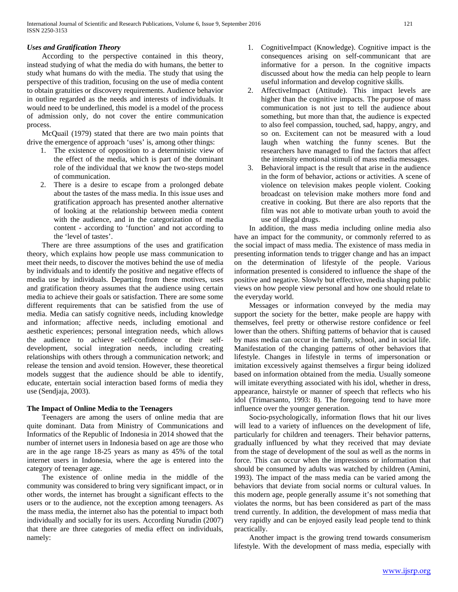## *Uses and Gratification Theory*

 According to the perspective contained in this theory, instead studying of what the media do with humans, the better to study what humans do with the media. The study that using the perspective of this tradition, focusing on the use of media content to obtain gratuities or discovery requirements. Audience behavior in outline regarded as the needs and interests of individuals. It would need to be underlined, this model is a model of the process of admission only, do not cover the entire communication process.

 McQuail (1979) stated that there are two main points that drive the emergence of approach 'uses' is, among other things:

- 1. The existence of opposition to a deterministic view of the effect of the media, which is part of the dominant role of the individual that we know the two-steps model of communication.
- 2. There is a desire to escape from a prolonged debate about the tastes of the mass media. In this issue uses and gratification approach has presented another alternative of looking at the relationship between media content with the audience, and in the categorization of media content - according to 'function' and not according to the 'level of tastes'.

 There are three assumptions of the uses and gratification theory, which explains how people use mass communication to meet their needs, to discover the motives behind the use of media by individuals and to identify the positive and negative effects of media use by individuals. Departing from these motives, uses and gratification theory assumes that the audience using certain media to achieve their goals or satisfaction. There are some some different requirements that can be satisfied from the use of media. Media can satisfy cognitive needs, including knowledge and information; affective needs, including emotional and aesthetic experiences; personal integration needs, which allows the audience to achieve self-confidence or their selfdevelopment, social integration needs, including creating relationships with others through a communication network; and release the tension and avoid tension. However, these theoretical models suggest that the audience should be able to identify, educate, entertain social interaction based forms of media they use (Sendjaja, 2003).

## **The Impact of Online Media to the Teenagers**

 Teenagers are among the users of online media that are quite dominant. Data from Ministry of Communications and Informatics of the Republic of Indonesia in 2014 showed that the number of internet users in Indonesia based on age are those who are in the age range 18-25 years as many as 45% of the total internet users in Indonesia, where the age is entered into the category of teenager age.

 The existence of online media in the middle of the community was considered to bring very significant impact, or in other words, the internet has brought a significant effects to the users or to the audience, not the exception among teenagers. As the mass media, the internet also has the potential to impact both individually and socially for its users. According Nurudin (2007) that there are three categories of media effect on individuals, namely:

- 1. CognitiveImpact (Knowledge). Cognitive impact is the consequences arising on self-communicant that are informative for a person. In the cognitive impacts discussed about how the media can help people to learn useful information and develop cognitive skills.
- 2. AffectiveImpact (Attitude). This impact levels are higher than the cognitive impacts. The purpose of mass communication is not just to tell the audience about something, but more than that, the audience is expected to also feel compassion, touched, sad, happy, angry, and so on. Excitement can not be measured with a loud laugh when watching the funny scenes. But the researchers have managed to find the factors that affect the intensity emotional stimuli of mass media messages.
- 3. Behavioral impact is the result that arise in the audience in the form of behavior, actions or activities. A scene of violence on television makes people violent. Cooking broadcast on television make mothers more fond and creative in cooking. But there are also reports that the film was not able to motivate urban youth to avoid the use of illegal drugs.

 In addition, the mass media including online media also have an impact for the community, or commonly referred to as the social impact of mass media. The existence of mass media in presenting information tends to trigger change and has an impact on the determination of lifestyle of the people. Various information presented is considered to influence the shape of the positive and negative. Slowly but effective, media shaping public views on how people view personal and how one should relate to the everyday world.

 Messages or information conveyed by the media may support the society for the better, make people are happy with themselves, feel pretty or otherwise restore confidence or feel lower than the others. Shifting patterns of behavior that is caused by mass media can occur in the family, school, and in social life. Manifestation of the changing patterns of other behaviors that lifestyle. Changes in lifestyle in terms of impersonation or imitation excessively against themselves a firgur being idolized based on information obtained from the media. Usually someone will imitate everything associated with his idol, whether in dress, appearance, hairstyle or manner of speech that reflects who his idol (Trimarsanto, 1993: 8). The foregoing tend to have more influence over the younger generation.

 Socio-psychologically, information flows that hit our lives will lead to a variety of influences on the development of life, particularly for children and teenagers. Their behavior patterns, gradually influenced by what they received that may deviate from the stage of development of the soul as well as the norms in force. This can occur when the impressions or information that should be consumed by adults was watched by children (Amini, 1993). The impact of the mass media can be varied among the behaviors that deviate from social norms or cultural values. In this modern age, people generally assume it's not something that violates the norms, but has been considered as part of the mass trend currently. In addition, the development of mass media that very rapidly and can be enjoyed easily lead people tend to think practically.

 Another impact is the growing trend towards consumerism lifestyle. With the development of mass media, especially with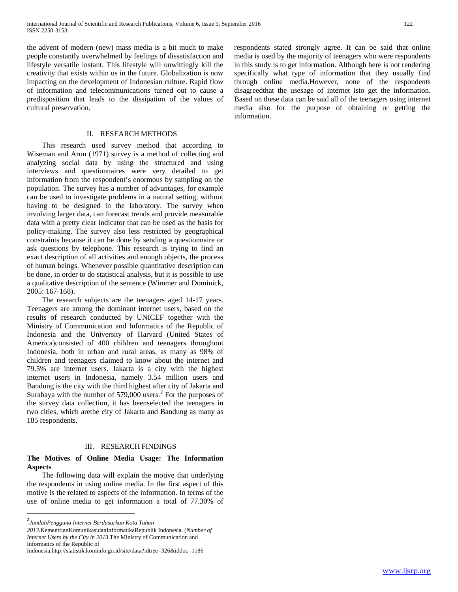the advent of modern (new) mass media is a bit much to make people constantly overwhelmed by feelings of dissatisfaction and lifestyle versatile instant. This lifestyle will unwittingly kill the creativity that exists within us in the future. Globalization is now impacting on the development of Indonesian culture. Rapid flow of information and telecommunications turned out to cause a predisposition that leads to the dissipation of the values of cultural preservation.

## II. RESEARCH METHODS

 This research used survey method that according to Wiseman and Aron (1971) survey is a method of collecting and analyzing social data by using the structured and using interviews and questionnaires were very detailed to get information from the respondent's enormous by sampling on the population. The survey has a number of advantages, for example can be used to investigate problems in a natural setting, without having to be designed in the laboratory. The survey when involving larger data, can forecast trends and provide measurable data with a pretty clear indicator that can be used as the basis for policy-making. The survey also less restricted by geographical constraints because it can be done by sending a questionnaire or ask questions by telephone. This research is trying to find an exact description of all activities and enough objects, the process of human beings. Whenever possible quantitative description can be done, in order to do statistical analysis, but it is possible to use a qualitative description of the sentence (Wimmer and Dominick, 2005: 167-168).

 The research subjects are the teenagers aged 14-17 years. Teenagers are among the dominant internet users, based on the results of research conducted by UNICEF together with the Ministry of Communication and Informatics of the Republic of Indonesia and the University of Harvard (United States of America)consisted of 400 children and teenagers throughout Indonesia, both in urban and rural areas, as many as 98% of children and teenagers claimed to know about the internet and 79.5% are internet users. Jakarta is a city with the highest internet users in Indonesia, namely 3.54 million users and Bandung is the city with the third highest after city of Jakarta and Surabaya with the number of 579,000 users.<sup>[2](#page-0-1)</sup> For the purposes of the survey data collection, it has beenselected the teenagers in two cities, which arethe city of Jakarta and Bandung as many as 185 respondents.

## III. RESEARCH FINDINGS

## **The Motives of Online Media Usage: The Information Aspects**

 The following data will explain the motive that underlying the respondents in using online media. In the first aspect of this motive is the related to aspects of the information. In terms of the use of online media to get information a total of 77.30% of respondents stated strongly agree. It can be said that online media is used by the majority of teenagers who were respondents in this study is to get information. Although here is not rendering specifically what type of information that they usually find through online media.However, none of the respondents disagreedthat the usesage of internet isto get the information. Based on these data can be said all of the teenagers using internet media also for the purpose of obtaining or getting the information.

 $\frac{1}{2}$ *JumlahPengguna Internet Berdasarkan Kota Tahun* 

*<sup>2013</sup>*.KementrianKomunikasidanInformatikaRepublik Indonesia. (*Number of Internet Users by the City in 2013*.The Ministry of Communication and Informatics of the Republic of

Indonesia.http://statistik.kominfo.go.id/site/data?idtree=326&iddoc=1186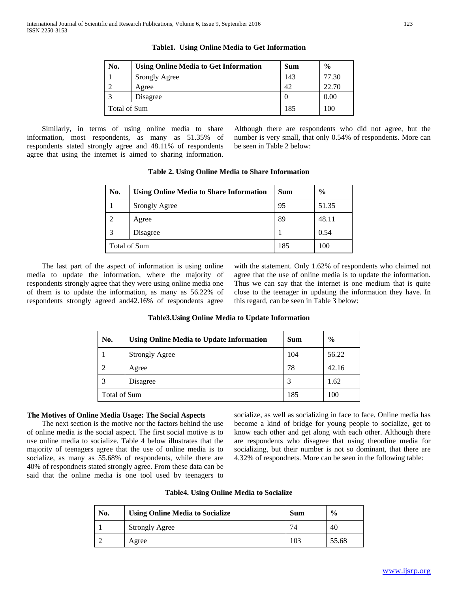| No.          | <b>Using Online Media to Get Information</b> | <b>Sum</b> | $\frac{6}{6}$ |
|--------------|----------------------------------------------|------------|---------------|
|              | Srongly Agree                                | 143        | 77.30         |
|              | Agree                                        | 42         | 22.70         |
|              | Disagree                                     |            | 0.00          |
| Total of Sum |                                              | 185        | 100           |

**Table1. Using Online Media to Get Information**

 Similarly, in terms of using online media to share information, most respondents, as many as 51.35% of respondents stated strongly agree and 48.11% of respondents agree that using the internet is aimed to sharing information.

Although there are respondents who did not agree, but the number is very small, that only 0.54% of respondents. More can be seen in Table 2 below:

| No. | <b>Using Online Media to Share Information</b> | Sum | $\frac{0}{0}$ |
|-----|------------------------------------------------|-----|---------------|
|     | Srongly Agree                                  | 95  | 51.35         |
|     | Agree                                          | 89  | 48.11         |
| 3   | Disagree                                       |     | 0.54          |
|     | <b>Total of Sum</b>                            | 185 | 100           |

**Table 2. Using Online Media to Share Information**

 The last part of the aspect of information is using online media to update the information, where the majority of respondents strongly agree that they were using online media one of them is to update the information, as many as 56.22% of respondents strongly agreed and42.16% of respondents agree with the statement. Only 1.62% of respondents who claimed not agree that the use of online media is to update the information. Thus we can say that the internet is one medium that is quite close to the teenager in updating the information they have. In this regard, can be seen in Table 3 below:

# **Table3.Using Online Media to Update Information**

| No.            | <b>Using Online Media to Update Information</b> | <b>Sum</b> | $\frac{6}{6}$ |
|----------------|-------------------------------------------------|------------|---------------|
|                | <b>Strongly Agree</b>                           | 104        | 56.22         |
| $\overline{c}$ | Agree                                           | 78         | 42.16         |
| 3              | Disagree                                        |            | 1.62          |
|                | <b>Total of Sum</b>                             |            | 100           |

# **The Motives of Online Media Usage: The Social Aspects**

 The next section is the motive nor the factors behind the use of online media is the social aspect. The first social motive is to use online media to socialize. Table 4 below illustrates that the majority of teenagers agree that the use of online media is to socialize, as many as 55.68% of respondents, while there are 40% of respondnets stated strongly agree. From these data can be said that the online media is one tool used by teenagers to

socialize, as well as socializing in face to face. Online media has become a kind of bridge for young people to socialize, get to know each other and get along with each other. Although there are respondents who disagree that using theonline media for socializing, but their number is not so dominant, that there are 4.32% of respondnets. More can be seen in the following table:

| <b>Table4. Using Online Media to Socialize</b> |  |  |
|------------------------------------------------|--|--|
|------------------------------------------------|--|--|

| No. | <b>Using Online Media to Socialize</b> | <b>Sum</b> | $\frac{6}{9}$ |
|-----|----------------------------------------|------------|---------------|
|     | <b>Strongly Agree</b>                  | 74         | 40            |
|     | Agree                                  | 103        | 55.68         |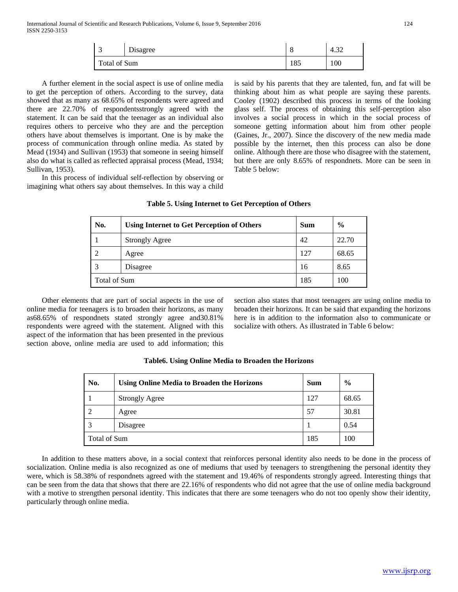| ັ            | $\mathbf{r}$<br>Disagree | O   | $\sim$<br>4.JZ |
|--------------|--------------------------|-----|----------------|
| Total of Sum |                          | 185 | 100            |

 A further element in the social aspect is use of online media to get the perception of others. According to the survey, data showed that as many as 68.65% of respondents were agreed and there are 22.70% of respondentsstrongly agreed with the statement. It can be said that the teenager as an individual also requires others to perceive who they are and the perception others have about themselves is important. One is by make the process of communication through online media. As stated by Mead (1934) and Sullivan (1953) that someone in seeing himself also do what is called as reflected appraisal process (Mead, 1934; Sullivan, 1953).

 In this process of individual self-reflection by observing or imagining what others say about themselves. In this way a child is said by his parents that they are talented, fun, and fat will be thinking about him as what people are saying these parents. Cooley (1902) described this process in terms of the looking glass self. The process of obtaining this self-perception also involves a social process in which in the social process of someone getting information about him from other people (Gaines, Jr., 2007). Since the discovery of the new media made possible by the internet, then this process can also be done online. Although there are those who disagree with the statement, but there are only 8.65% of respondnets. More can be seen in Table 5 below:

| No. | <b>Using Internet to Get Perception of Others</b> | <b>Sum</b> | $\frac{0}{0}$ |
|-----|---------------------------------------------------|------------|---------------|
|     | <b>Strongly Agree</b>                             | 42         | 22.70         |
|     | Agree                                             | 127        | 68.65         |
| 3   | Disagree                                          | 16         | 8.65          |
|     | Total of Sum                                      |            | 100           |

# **Table 5. Using Internet to Get Perception of Others**

 Other elements that are part of social aspects in the use of online media for teenagers is to broaden their horizons, as many as68.65% of respondnets stated strongly agree and30.81% respondents were agreed with the statement. Aligned with this aspect of the information that has been presented in the previous section above, online media are used to add information; this

section also states that most teenagers are using online media to broaden their horizons. It can be said that expanding the horizons here is in addition to the information also to communicate or socialize with others. As illustrated in Table 6 below:

| No.                 | <b>Using Online Media to Broaden the Horizons</b> | <b>Sum</b> | $\frac{6}{9}$ |
|---------------------|---------------------------------------------------|------------|---------------|
|                     | <b>Strongly Agree</b>                             | 127        | 68.65         |
|                     | Agree                                             | 57         | 30.81         |
|                     | Disagree                                          |            | 0.54          |
| <b>Total of Sum</b> |                                                   | 185        | 100           |

#### **Table6. Using Online Media to Broaden the Horizons**

 In addition to these matters above, in a social context that reinforces personal identity also needs to be done in the process of socialization. Online media is also recognized as one of mediums that used by teenagers to strengthening the personal identity they were, which is 58.38% of respondnets agreed with the statement and 19.46% of respondents strongly agreed. Interesting things that can be seen from the data that shows that there are 22.16% of respondents who did not agree that the use of online media background with a motive to strengthen personal identity. This indicates that there are some teenagers who do not too openly show their identity, particularly through online media.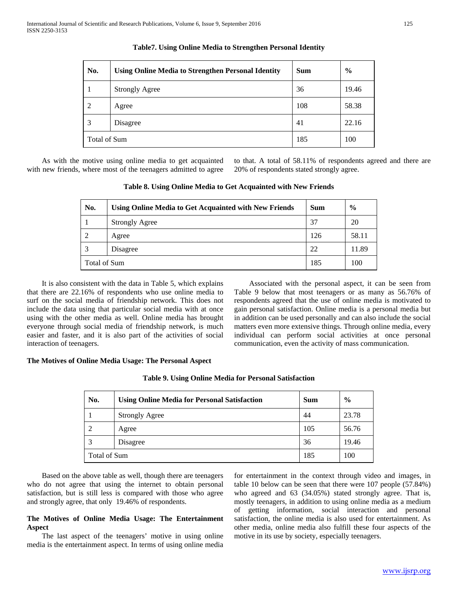| No.          | <b>Using Online Media to Strengthen Personal Identity</b> | <b>Sum</b> | $\frac{6}{6}$ |
|--------------|-----------------------------------------------------------|------------|---------------|
|              | <b>Strongly Agree</b>                                     | 36         | 19.46         |
| 2            | Agree                                                     | 108        | 58.38         |
| 3            | Disagree                                                  | 41         | 22.16         |
| Total of Sum |                                                           | 185        | 100           |

## **Table7. Using Online Media to Strengthen Personal Identity**

 As with the motive using online media to get acquainted with new friends, where most of the teenagers admitted to agree to that. A total of 58.11% of respondents agreed and there are 20% of respondents stated strongly agree.

| No.                 | <b>Using Online Media to Get Acquainted with New Friends</b> | <b>Sum</b> | $\frac{6}{6}$ |
|---------------------|--------------------------------------------------------------|------------|---------------|
|                     | <b>Strongly Agree</b>                                        | 37         | 20            |
| $\mathfrak{D}$      | Agree                                                        | 126        | 58.11         |
| 3                   | Disagree                                                     | 22         | 11.89         |
| <b>Total of Sum</b> |                                                              | 185        | 100           |

**Table 8. Using Online Media to Get Acquainted with New Friends**

 It is also consistent with the data in Table 5, which explains that there are 22.16% of respondents who use online media to surf on the social media of friendship network. This does not include the data using that particular social media with at once using with the other media as well. Online media has brought everyone through social media of friendship network, is much easier and faster, and it is also part of the activities of social interaction of teenagers.

 Associated with the personal aspect, it can be seen from Table 9 below that most teenagers or as many as 56.76% of respondents agreed that the use of online media is motivated to gain personal satisfaction. Online media is a personal media but in addition can be used personally and can also include the social matters even more extensive things. Through online media, every individual can perform social activities at once personal communication, even the activity of mass communication.

# **The Motives of Online Media Usage: The Personal Aspect**

| No.                 | <b>Using Online Media for Personal Satisfaction</b> | <b>Sum</b> | $\frac{6}{9}$ |
|---------------------|-----------------------------------------------------|------------|---------------|
|                     | <b>Strongly Agree</b>                               | 44         | 23.78         |
| 2                   | Agree                                               | 105        | 56.76         |
|                     | Disagree                                            | 36         | 19.46         |
| <b>Total of Sum</b> |                                                     | 185        | 100           |

**Table 9. Using Online Media for Personal Satisfaction**

 Based on the above table as well, though there are teenagers who do not agree that using the internet to obtain personal satisfaction, but is still less is compared with those who agree and strongly agree, that only 19.46% of respondents.

## **The Motives of Online Media Usage: The Entertainment Aspect**

 The last aspect of the teenagers' motive in using online media is the entertainment aspect. In terms of using online media

for entertainment in the context through video and images, in table 10 below can be seen that there were 107 people (57.84%) who agreed and 63 (34.05%) stated strongly agree. That is, mostly teenagers, in addition to using online media as a medium of getting information, social interaction and personal satisfaction, the online media is also used for entertainment. As other media, online media also fulfill these four aspects of the motive in its use by society, especially teenagers.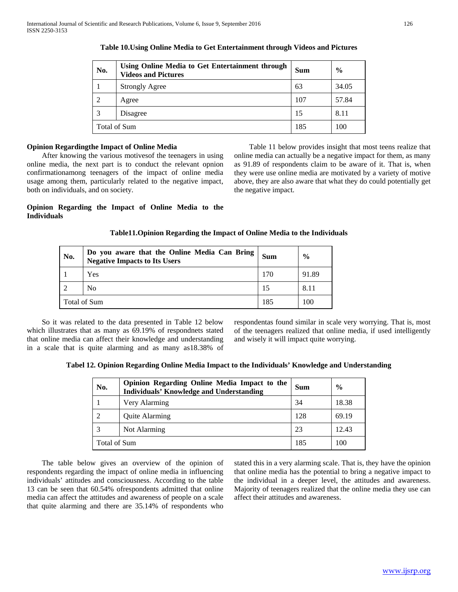| No.                 | Using Online Media to Get Entertainment through<br><b>Videos and Pictures</b> | <b>Sum</b> | $\frac{0}{0}$ |
|---------------------|-------------------------------------------------------------------------------|------------|---------------|
|                     | <b>Strongly Agree</b>                                                         | 63         | 34.05         |
| 2                   | Agree                                                                         | 107        | 57.84         |
| 3                   | Disagree                                                                      | 15         | 8.11          |
| <b>Total of Sum</b> |                                                                               | 185        | 100           |

## **Table 10.Using Online Media to Get Entertainment through Videos and Pictures**

## **Opinion Regardingthe Impact of Online Media**

 After knowing the various motivesof the teenagers in using online media, the next part is to conduct the relevant opnion confirmationamong teenagers of the impact of online media usage among them, particularly related to the negative impact, both on individuals, and on society.

 Table 11 below provides insight that most teens realize that online media can actually be a negative impact for them, as many as 91.89 of respondents claim to be aware of it. That is, when they were use online media are motivated by a variety of motive above, they are also aware that what they do could potentially get the negative impact.

## **Opinion Regarding the Impact of Online Media to the Individuals**

## **Table11.Opinion Regarding the Impact of Online Media to the Individuals**

| No. | Do you aware that the Online Media Can Bring<br><b>Negative Impacts to Its Users</b> | Sum | $\frac{6}{9}$ |
|-----|--------------------------------------------------------------------------------------|-----|---------------|
|     | Yes                                                                                  | 170 | 91.89         |
|     | N <sub>0</sub>                                                                       |     | 8.11          |
|     | Total of Sum                                                                         |     | 100           |

 So it was related to the data presented in Table 12 below which illustrates that as many as 69.19% of respondnets stated that online media can affect their knowledge and understanding in a scale that is quite alarming and as many as18.38% of respondentas found similar in scale very worrying. That is, most of the teenagers realized that online media, if used intelligently and wisely it will impact quite worrying.

| Tabel 12. Opinion Regarding Online Media Impact to the Individuals' Knowledge and Understanding |  |  |  |  |
|-------------------------------------------------------------------------------------------------|--|--|--|--|
|-------------------------------------------------------------------------------------------------|--|--|--|--|

| No.                 | Opinion Regarding Online Media Impact to the<br><b>Individuals' Knowledge and Understanding</b> | <b>Sum</b> | $\frac{0}{0}$ |
|---------------------|-------------------------------------------------------------------------------------------------|------------|---------------|
|                     | Very Alarming                                                                                   | 34         | 18.38         |
| $\overline{2}$      | <b>Ouite Alarming</b>                                                                           | 128        | 69.19         |
| 3                   | Not Alarming                                                                                    | 23         | 12.43         |
| <b>Total of Sum</b> |                                                                                                 | 185        | 100           |

 The table below gives an overview of the opinion of respondents regarding the impact of online media in influencing individuals' attitudes and consciousness. According to the table 13 can be seen that 60.54% ofrespondents admitted that online media can affect the attitudes and awareness of people on a scale that quite alarming and there are 35.14% of respondents who

stated this in a very alarming scale. That is, they have the opinion that online media has the potential to bring a negative impact to the individual in a deeper level, the attitudes and awareness. Majority of teenagers realized that the online media they use can affect their attitudes and awareness.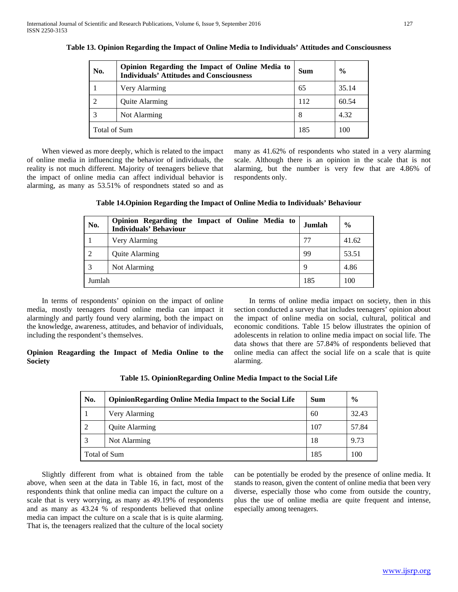| No.            | Opinion Regarding the Impact of Online Media to<br><b>Individuals' Attitudes and Consciousness</b> | Sum | $\frac{6}{9}$ |
|----------------|----------------------------------------------------------------------------------------------------|-----|---------------|
|                | Very Alarming                                                                                      | 65  | 35.14         |
| $\overline{c}$ | Quite Alarming                                                                                     | 112 | 60.54         |
|                | Not Alarming                                                                                       | 8   | 4.32          |
|                | Total of Sum                                                                                       |     | 100           |

**Table 13. Opinion Regarding the Impact of Online Media to Individuals' Attitudes and Consciousness**

 When viewed as more deeply, which is related to the impact of online media in influencing the behavior of individuals, the reality is not much different. Majority of teenagers believe that the impact of online media can affect individual behavior is alarming, as many as 53.51% of respondnets stated so and as

many as 41.62% of respondents who stated in a very alarming scale. Although there is an opinion in the scale that is not alarming, but the number is very few that are 4.86% of respondents only.

| Table 14. Opinion Regarding the Impact of Online Media to Individuals' Behaviour |  |  |
|----------------------------------------------------------------------------------|--|--|
|                                                                                  |  |  |

| No.    | Opinion Regarding the Impact of Online Media to<br><b>Individuals' Behaviour</b> | Jumlah | $\frac{6}{9}$ |
|--------|----------------------------------------------------------------------------------|--------|---------------|
|        | Very Alarming                                                                    | 77     | 41.62         |
| 2      | <b>Quite Alarming</b>                                                            | 99     | 53.51         |
|        | Not Alarming                                                                     | 9      | 4.86          |
| Jumlah |                                                                                  | 185    | 100           |

 In terms of respondents' opinion on the impact of online media, mostly teenagers found online media can impact it alarmingly and partly found very alarming, both the impact on the knowledge, awareness, attitudes, and behavior of individuals, including the respondent's themselves.

**Opinion Reagarding the Impact of Media Online to the Society**

 In terms of online media impact on society, then in this section conducted a survey that includes teenagers' opinion about the impact of online media on social, cultural, political and economic conditions. Table 15 below illustrates the opinion of adolescents in relation to online media impact on social life. The data shows that there are 57.84% of respondents believed that online media can affect the social life on a scale that is quite alarming.

| No.                 | <b>OpinionRegarding Online Media Impact to the Social Life</b> | <b>Sum</b> | $\frac{6}{6}$ |
|---------------------|----------------------------------------------------------------|------------|---------------|
|                     | Very Alarming                                                  | 60         | 32.43         |
|                     | Quite Alarming                                                 | 107        | 57.84         |
| 3                   | Not Alarming                                                   | 18         | 9.73          |
| <b>Total of Sum</b> |                                                                | 185        | 100           |

**Table 15. OpinionRegarding Online Media Impact to the Social Life**

 Slightly different from what is obtained from the table above, when seen at the data in Table 16, in fact, most of the respondents think that online media can impact the culture on a scale that is very worrying, as many as 49.19% of respondents and as many as 43.24 % of respondents believed that online media can impact the culture on a scale that is is quite alarming. That is, the teenagers realized that the culture of the local society

can be potentially be eroded by the presence of online media. It stands to reason, given the content of online media that been very diverse, especially those who come from outside the country, plus the use of online media are quite frequent and intense, especially among teenagers.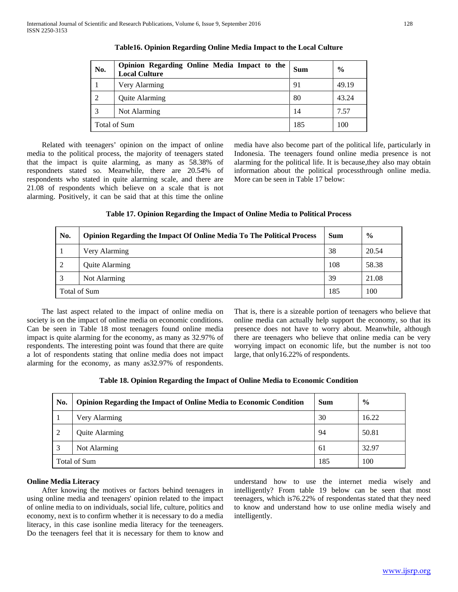| No. | Opinion Regarding Online Media Impact to the<br><b>Local Culture</b> | <b>Sum</b> | $\frac{6}{6}$ |
|-----|----------------------------------------------------------------------|------------|---------------|
|     | Very Alarming                                                        | 91         | 49.19         |
| 2   | Quite Alarming                                                       | 80         | 43.24         |
| 3   | Not Alarming                                                         | 14         | 7.57          |
|     | <b>Total of Sum</b>                                                  | 185        | 100           |

**Table16. Opinion Regarding Online Media Impact to the Local Culture**

 Related with teenagers' opinion on the impact of online media to the political process, the majority of teenagers stated that the impact is quite alarming, as many as 58.38% of respondnets stated so. Meanwhile, there are 20.54% of respondents who stated in quite alarming scale, and there are 21.08 of respondents which believe on a scale that is not alarming. Positively, it can be said that at this time the online media have also become part of the political life, particularly in Indonesia. The teenagers found online media presence is not alarming for the political life. It is because,they also may obtain information about the political processthrough online media. More can be seen in Table 17 below:

# **Table 17. Opinion Regarding the Impact of Online Media to Political Process**

| No. | <b>Opinion Regarding the Impact Of Online Media To The Political Process</b> | Sum | $\frac{6}{9}$ |
|-----|------------------------------------------------------------------------------|-----|---------------|
|     | Very Alarming                                                                | 38  | 20.54         |
| 2   | Quite Alarming                                                               | 108 | 58.38         |
|     | Not Alarming                                                                 | 39  | 21.08         |
|     | Total of Sum                                                                 |     | 100           |

 The last aspect related to the impact of online media on society is on the impact of online media on economic conditions. Can be seen in Table 18 most teenagers found online media impact is quite alarming for the economy, as many as 32.97% of respondents. The interesting point was found that there are quite a lot of respondents stating that online media does not impact alarming for the economy, as many as32.97% of respondents.

That is, there is a sizeable portion of teenagers who believe that online media can actually help support the economy, so that its presence does not have to worry about. Meanwhile, although there are teenagers who believe that online media can be very worrying impact on economic life, but the number is not too large, that only16.22% of respondents.

| No. | <b>Opinion Regarding the Impact of Online Media to Economic Condition</b> | Sum | $\frac{6}{6}$ |
|-----|---------------------------------------------------------------------------|-----|---------------|
|     | Very Alarming                                                             | 30  | 16.22         |
| 2   | Quite Alarming                                                            | 94  | 50.81         |
| 3   | Not Alarming                                                              | 61  | 32.97         |
|     | <b>Total of Sum</b>                                                       |     | 100           |

## **Online Media Literacy**

 After knowing the motives or factors behind teenagers in using online media and teenagers' opinion related to the impact of online media to on individuals, social life, culture, politics and economy, next is to confirm whether it is necessary to do a media literacy, in this case isonline media literacy for the teeneagers. Do the teenagers feel that it is necessary for them to know and understand how to use the internet media wisely and intelligently? From table 19 below can be seen that most teenagers, which is76.22% of respondentas stated that they need to know and understand how to use online media wisely and intelligently.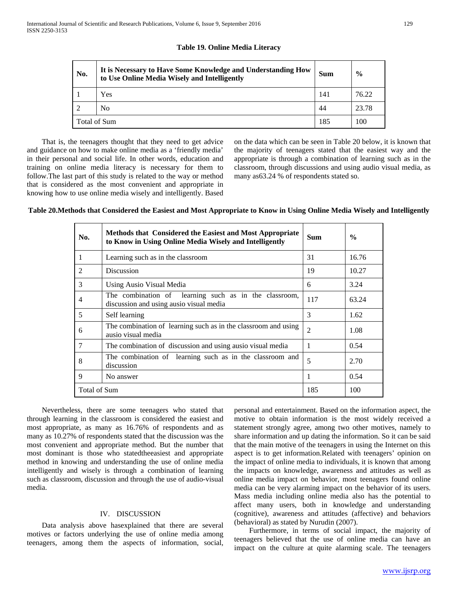| No.          | It is Necessary to Have Some Knowledge and Understanding How<br>to Use Online Media Wisely and Intelligently | <b>Sum</b> | $\frac{0}{0}$ |
|--------------|--------------------------------------------------------------------------------------------------------------|------------|---------------|
|              | Yes                                                                                                          | 141        | 76.22         |
| 2            | N <sub>0</sub>                                                                                               | 44         | 23.78         |
| Total of Sum |                                                                                                              | 185        | 100           |

## **Table 19. Online Media Literacy**

 That is, the teenagers thought that they need to get advice and guidance on how to make online media as a 'friendly media' in their personal and social life. In other words, education and training on online media literacy is necessary for them to follow.The last part of this study is related to the way or method that is considered as the most convenient and appropriate in knowing how to use online media wisely and intelligently. Based

on the data which can be seen in Table 20 below, it is known that the majority of teenagers stated that the easiest way and the appropriate is through a combination of learning such as in the classroom, through discussions and using audio visual media, as many as63.24 % of respondents stated so.

**Table 20.Methods that Considered the Easiest and Most Appropriate to Know in Using Online Media Wisely and Intelligently**

| No.            | Methods that Considered the Easiest and Most Appropriate<br>to Know in Using Online Media Wisely and Intelligently | <b>Sum</b>     | $\frac{0}{0}$ |
|----------------|--------------------------------------------------------------------------------------------------------------------|----------------|---------------|
| 1              | Learning such as in the classroom                                                                                  | 31             | 16.76         |
| $\mathfrak{D}$ | <b>Discussion</b>                                                                                                  | 19             | 10.27         |
| 3              | Using Ausio Visual Media                                                                                           | 6              | 3.24          |
| 4              | The combination of learning such as in the classroom,<br>discussion and using ausio visual media                   | 117            | 63.24         |
| 5              | Self learning                                                                                                      | 3              | 1.62          |
| 6              | The combination of learning such as in the classroom and using<br>ausio visual media                               | $\overline{2}$ | 1.08          |
| 7              | The combination of discussion and using ausio visual media                                                         | 1              | 0.54          |
| 8              | The combination of learning such as in the classroom and<br>discussion                                             | 5              | 2.70          |
| 9              | No answer                                                                                                          | 1              | 0.54          |
| Total of Sum   |                                                                                                                    | 185            | 100           |

 Nevertheless, there are some teenagers who stated that through learning in the classroom is considered the easiest and most appropriate, as many as 16.76% of respondents and as many as 10.27% of respondents stated that the discussion was the most convenient and appropriate method. But the number that most dominant is those who statedtheeasiest and appropriate method in knowing and understanding the use of online media intelligently and wisely is through a combination of learning such as classroom, discussion and through the use of audio-visual media.

## IV. DISCUSSION

 Data analysis above hasexplained that there are several motives or factors underlying the use of online media among teenagers, among them the aspects of information, social,

personal and entertainment. Based on the information aspect, the motive to obtain information is the most widely received a statement strongly agree, among two other motives, namely to share information and up dating the information. So it can be said that the main motive of the teenagers in using the Internet on this aspect is to get information.Related with teenagers' opinion on the impact of online media to individuals, it is known that among the impacts on knowledge, awareness and attitudes as well as online media impact on behavior, most teenagers found online media can be very alarming impact on the behavior of its users. Mass media including online media also has the potential to affect many users, both in knowledge and understanding (cognitive), awareness and attitudes (affective) and behaviors (behavioral) as stated by Nurudin (2007).

 Furthermore, in terms of social impact, the majority of teenagers believed that the use of online media can have an impact on the culture at quite alarming scale. The teenagers